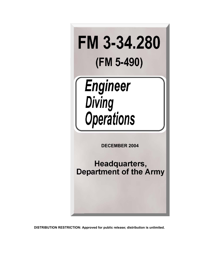

# **Engineer** Diving<br>Operations

 **DECEMBER 2004** 

Headquarters, **Department of the Army** 

**DISTRIBUTION RESTRICTION: Approved for public release; distribution is unlimited.**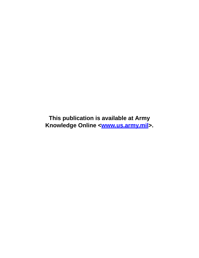**This publication is available at Army** Knowledge Online <**www.us.army.mil**>.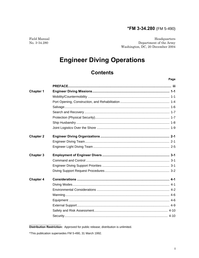# \*FM 3-34.280 (FM 5-490)

Field Manual No. 3-34.280

Headquarters Department of the Army Washington, DC, 20 December 2004

# **Engineer Diving Operations**

# **Contents**

# Page

| <b>Chapter 1</b> |  |
|------------------|--|
|                  |  |
|                  |  |
|                  |  |
|                  |  |
|                  |  |
|                  |  |
|                  |  |
| <b>Chapter 2</b> |  |
|                  |  |
|                  |  |
| <b>Chapter 3</b> |  |
|                  |  |
|                  |  |
|                  |  |
| <b>Chapter 4</b> |  |
|                  |  |
|                  |  |
|                  |  |
|                  |  |
|                  |  |
|                  |  |
|                  |  |

Distribution Restriction: Approved for public release; distribution is unlimited.

<sup>\*</sup>This publication supersedes FM 5-490, 31 March 1992.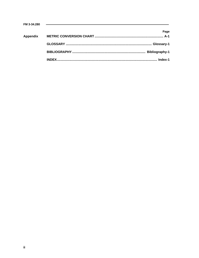| FM 3-34.280 | <u> 1989 - John Harry Harry Harry Harry Harry Harry Harry Harry Harry Harry Harry Harry Harry Harry Harry Harry H</u> |                       |
|-------------|-----------------------------------------------------------------------------------------------------------------------|-----------------------|
|             |                                                                                                                       | Page                  |
| Appendix    |                                                                                                                       |                       |
|             |                                                                                                                       | Glossary-1            |
|             |                                                                                                                       | <b>Bibliography-1</b> |
|             |                                                                                                                       | Index-1               |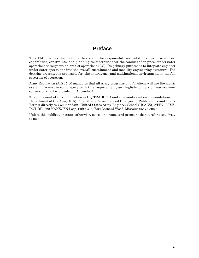# **Preface**

This FM provides the doctrinal basis and the responsibilities, relationships, procedures, capabilities, constraints, and planning considerations for the conduct of engineer underwater operations throughout an area of operations (AO). Its primary purpose is to integrate engineer underwater operations into the overall sustainment and mobility engineering structure. The doctrine presented is applicable for joint interagency and multinational environments in the full spectrum of operations.

Army Regulation (AR) 25-30 mandates that all Army programs and functions will use the metric system. To ensure compliance with this requirement, an English-to-metric measurement conversion chart is provided in Appendix A.

The proponent of this publication is HQ TRADOC. Send comments and recommendations on Department of the Army (DA) Form 2028 (Recommended Changes to Publications and Blank Forms) directly to Commandant, United States Army Engineer School (USAES), ATTN: ATSE-DOT-DD, 320 MANSCEN Loop, Suite 336, Fort Leonard Wood, Missouri 65473-8929.

Unless this publication states otherwise, masculine nouns and pronouns do not refer exclusively to men.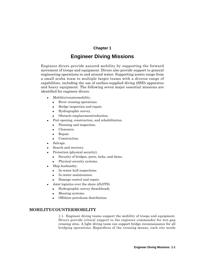# **Chapter 1**

# **Engineer Diving Missions**

Engineer divers provide assured mobility by supporting the forward movement of troops and equipment. Divers also provide support to general engineering operations in and around water. Supporting assets range from a small scuba team to multiple larger teams with a diverse range of capabilities, including the use of surface-supplied diving (SSD) apparatus and heavy equipment. The following seven major essential missions are identified for engineer divers:

- Mobility/countermobility.
	- River crossing operations.
	- Bridge inspection and repair.
	- Hydrographic survey.
	- Obstacle emplacement/reduction.
- Port opening, construction, and rehabilitation.
	- Planning and inspection.
	- Clearance.
	- Repair.
	- Construction.
- Salvage.
- Search and recovery.
- Protection (physical security).
	- Security of bridges, ports, locks, and dams.
	- Physical security systems.
- Ship husbandry.
	- In-water hull inspections.
	- In-water maintenance.
	- Damage control and repair.
- Joint logistics over the shore (JLOTS).
	- Hydrographic survey (beachhead).
	- Mooring systems.
	- Offshore petroleum distribution.

# **MOBILITY/COUNTERMOBILITY**

1-1. Engineer diving teams support the mobility of troops and equipment. Divers provide critical support to the engineer commander for wet-gap crossing sites. A light diving team can support bridge reconnaissance for all bridging operations. Regardless of the crossing means, each site needs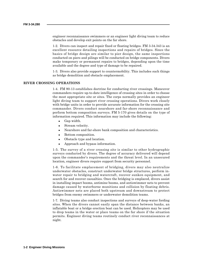engineer reconnaissance swimmers or an engineer light diving team to reduce obstacles and develop exit points on the far shore.

1-2. Divers can inspect and repair fixed or floating bridges. FM 3-34.343 is an excellent resource detailing inspections and repairs of bridges. Since the basics of bridge design are similar to pier design, the same inspections conducted on piers and pilings will be conducted on bridge components. Divers make temporary or permanent repairs to bridges, depending upon the time available and the degree and type of damage to be repaired.

1-3. Divers also provide support to countermobility. This includes such things as bridge demolition and obstacle emplacement.

# **RIVER CROSSING OPERATIONS**

1-4. FM 90-13 establishes doctrine for conducting river crossings. Maneuver commanders require up-to-date intelligence of crossing sites in order to choose the most appropriate site or sites. The corps normally provides an engineer light diving team to support river crossing operations. Divers work closely with bridge units in order to provide accurate information for the crossing site commander. Divers conduct nearshore and far-shore reconnaissance and perform bottom composition surveys. FM 5-170 gives details on the type of information required. This information may include the following:

- Gap width.
- Stream velocity.
- Nearshore and far-shore bank composition and characteristics.
- Bottom composition.
- Obstacle type and location.
- Approach and bypass information.

1-5. The survey of a river crossing site is similar to other hydrographic surveys conducted by divers. The degree of accuracy delivered will depend upon the commander's requirements and the threat level. In an unsecured location, engineer divers require support from security personnel.

1-6. To facilitate emplacement of bridging, divers may also neutralize underwater obstacles, construct underwater bridge structures, perform inwater repair to bridging and watercraft, recover sunken equipment, and search for and recover casualties. Once the bridging is emplaced, divers assist in installing impact booms, antimine booms, and antiswimmer nets to prevent damage caused by waterborne munitions and collision by floating debris. Antiswimmer nets are placed both upstream and downstream to protect bridges from enemy swimmers or underwater demolition teams.

1-7. Diving teams also conduct inspections and surveys of deep-water fording sites. When the divers cannot easily span the distance between banks, an inflatable boat or a bridge erection boat can be used. Helicopters may be used to drop teams in the water or place teams on the far shore if the situation permits. Engineer diving teams routinely conduct river reconnaissances at night.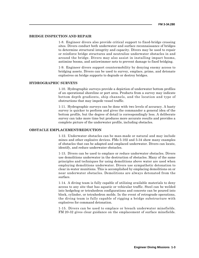# **BRIDGE INSPECTION AND REPAIR**

1-8. Engineer divers also provide critical support to fixed-bridge crossing sites. Divers conduct both underwater and surface reconnaissance of bridges to determine structural integrity and capacity. Divers may be used to repair or reinforce bridge structures and neutralize underwater obstacles in and around the bridge. Divers may also assist in installing impact booms, antimine booms, and antiswimmer nets to prevent damage to fixed bridging.

1-9. Engineer divers support countermobility by denying enemy access to bridging assets. Divers can be used to survey, emplace, prime, and detonate explosives on bridge supports to degrade or destroy bridges.

# **HYDROGRAPHIC SURVEYS**

1-10. Hydrographic surveys provide a depiction of underwater bottom profiles of an operational shoreline or port area. Products from a survey may indicate bottom depth gradients, ship channels, and the location and type of obstructions that may impede vessel traffic.

1-11. Hydrographic surveys can be done with two levels of accuracy. A hasty survey is quicker to perform and gives the commander a general idea of the bottom profile, but the degree of detail is correspondingly less. A deliberate survey can take more time but produces more accurate results and provides a complete picture of the underwater profile, including obstacles.

# **OBSTACLE EMPLACEMENT/REDUCTION**

1-12. Underwater obstacles can be man-made or natural and may include mines and other explosive devices. FMs 5-102 and 5-34 show many examples of obstacles that can be adapted and emplaced underwater. Divers can locate, identify, and reduce underwater obstacles.

1-13. Divers can be used to emplace or reduce underwater obstacles. Divers use demolitions underwater in the destruction of obstacles. Many of the same principles and techniques for using demolitions above water are used when employing demolitions underwater. Divers use sympathetic detonation to clear in-water munitions. This is accomplished by emplacing demolitions on or near underwater obstacles. Demolitions are always detonated from the surface.

1-14. A diving team is fully capable of utilizing available materials to deny access to any site that has aquatic or vehicular traffic. Steel can be welded into hedgehog or tetrahedron configurations and concrete can be poured into block, cylinder, or tetrahedron molds. In the event of retrograde operations, the diving team is fully capable of rigging a bridge substructure with explosives for command detonation.

1-15. Divers can be used to emplace or breach underwater minefields. FM 20-32 gives clear guidance on the emplacement of surface minefields.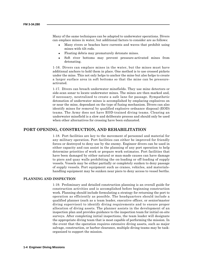Many of the same techniques can be adapted to underwater operations. Divers can emplace mines in water, but additional factors to consider are as follows:

- Many rivers or beaches have currents and waves that prohibit using mines with tilt rods.
- Floating debris may prematurely detonate mines.
- Soft river bottoms may prevent pressure-activated mines from detonating.

1-16. Divers can emplace mines in the water, but the mines must have additional anchors to hold them in place. One method is to use crossed pickets under the mine. This not only helps to anchor the mine but also helps to create a larger surface area in soft bottoms so that the mine can be pressureactivated.

1-17. Divers can breach underwater minefields. They use mine detectors or side-scan sonar to locate underwater mines. The mines are then marked and, if necessary, neutralized to create a safe lane for passage. Sympathetic detonation of underwater mines is accomplished by emplacing explosives on or near the mine, dependant on the type of fuzing mechanism. Divers can also identify mines for removal by qualified explosive ordnance disposal (EOD) teams. The Army does not have EOD-trained diving teams. Clearing an underwater minefield is a slow and deliberate process and should only be used when other alternatives for crossing have been exhausted.

# **PORT OPENING, CONSTRUCTION, AND REHABILITATION**

1-18. Port facilities are key to the movement of personnel and material for any military operation. Port facilities can either be improved for friendly forces or destroyed to deny use by the enemy. Engineer divers can be used in either capacity and can assist in the planning of any port operation to help determine priorities of work or prepare work estimates. Port facilities that have been damaged by either natural or man-made causes can have damage to piers and quay walls prohibiting the on-loading or off-loading of supply vessels. Vessels may be either partially or completely sunken to deny passage of supply vessels. Port equipment such as cranes, vehicles, and materialshandling equipment may be sunken near piers to deny access to vessel berths.

#### **PLANNING AND INSPECTION**

1-19. Preliminary and detailed construction planning is an overall guide for construction activities and is accomplished before beginning construction work. Planning should include formulating a strategy for returning the port to operation as efficiently as possible. The headquarters should include a qualified planner (such as a team leader, executive officer, or senior/master diving supervisor) to identify diving requirements and to ensure proper allocation of diving assets. The planner assists in the development of an inspection plan and provides guidance to the inspection team for initial on-site surveys. After completing initial inspections, the team leader will designate the appropriate diving team that is most capable of performing the mission. In the event that the operation requires extensive diving assets, such as major salvage, construction, or harbor clearance, multiple diving teams may be taskorganized to support the mission.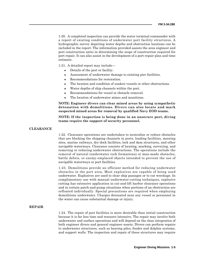1-20. A completed inspection can provide the water terminal commander with a report of existing conditions of underwater port facility structures. A hydrographic survey depicting water depths and obstruction locations can be included in the report. The information provided assists the area engineer and port construction units in determining the scope of construction required for port repair. It can also assist in the development of a port repair plan and time estimate.

1-21. A detailed report may include—

- Details of the port or facility.
- Assessment of underwater damage to existing pier facilities.
- Recommendations for restoration.
- The location and condition of sunken vessels or other obstructions.
- Water depths of ship channels within the port.
- Recommendations for vessel or obstacle removal.
- The location of underwater mines and munitions.

**NOTE: Engineer divers can clear mined areas by using sympathetic detonation with demolitions. Divers can also locate and mark suspected mined areas for removal by qualified Navy EOD teams.**

**NOTE: If the inspection is being done in an unsecure port, diving teams require the support of security personnel.**

# **CLEARANCE**

1-22. Clearance operations are undertaken to neutralize or reduce obstacles that are blocking the shipping channels in ports, loading facilities, mooring sites, marine railways, dry-dock facilities, lock and dam structures, and other navigable waterways. Clearance consists of locating, marking, surveying, and removing or reducing underwater obstructions. The operations include the removal of natural (underwater rock formations) or man-made obstacles, battle debris, or enemy-emplaced objects intended to prevent the use of navigable waterways or port facilities.

1-23. Demolitions provide an efficient method for reducing underwater obstacles in the port area. Most explosives are capable of being used underwater. Explosives are used to clear ship passages or to cut wreckage. In complimentary use with manual underwater-cutting techniques, explosive cutting has extensive application in cut-and-lift harbor clearance operations and in certain patch-and-pump situations when portions of an obstruction are refloated individually. Special precautions are required when employing demolitions underwater. Charges detonated near any vessel or personnel in the water can cause substantial damage or injury.

# **REPAIR**

1-24. The repair of port facilities is more desirable than initial construction because it is far less time and resource intensive. The repair may involve both underwater and surface operations and will depend on the close integration of both engineer divers and general engineer assets. Divers can perform repairs to underwater structures, such as bearing piles, fender and dolphin systems, and support walls. The inspection and repair of these structures may require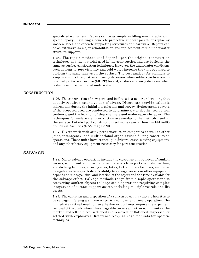specialized equipment. Repairs can be as simple as filling minor cracks with special epoxy; installing a concrete protective support jacket; or replacing wooden, steel, and concrete supporting structures and hardware. Repairs can be as extensive as major rehabilitation and replacement of the underwater structure supports.

1-25. The repair methods used depend upon the original construction techniques and the material used in the construction and are basically the same as surface construction techniques. However, the underwater conditions such as near to zero visibility and cold water increase the time required to perform the same task as on the surface. The best analogy for planners to keep in mind is that just as efficiency decreases when soldiers go to missionoriented protective posture (MOPP) level 4, so does efficiency decrease when tasks have to be performed underwater.

# **CONSTRUCTION**

1-26. The construction of new ports and facilities is a major undertaking that usually requires extensive use of divers. Divers can provide valuable information during the initial site selection and survey. Hydrographic surveys of the proposed area are conducted to determine water depths, sea-bottom contours, and the location of ship channels and underwater obstacles. The techniques for underwater construction are similar to the methods used on the surface. Detailed port construction techniques are outlined in FM 5-480 and Naval Facilities (NAVFAC) P-990.

1-27. Divers work with army port construction companies as well as other joint, interagency, and multinational organizations during construction operations. These units have cranes, pile drivers, earth-moving equipment, and any other heavy equipment necessary for port construction.

# **SALVAGE**

1-28. Major salvage operations include the clearance and removal of sunken vessels, equipment, supplies, or other materials from port channels, berthing and docking facilities, mooring sites, lakes, lock and dam facilities, and other navigable waterways. A diver's ability to salvage vessels or other equipment depends on the type, size, and location of the object and the time available for the salvage effort. Salvage methods range from simple operations to recovering sunken objects to large-scale operations requiring complex integration of surface-support assets, including multiple vessels and lift assets.

1-29. The condition and disposition of a sunken object may dictate how it is to be salvaged. Raising a sunken object is a complex and timely operation. The immediate tactical need to use a harbor or port may require the expedient removal of the obstruction. Unsalvageable vessels and other equipment can be marked and left in place; sectioned and removed; or flattened, dispersed, or settled with explosives. Reference Navy salvage manuals for specific techniques.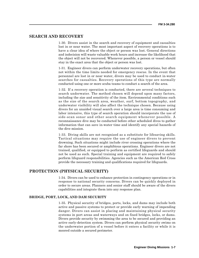# **SEARCH AND RECOVERY**

1-30. Divers assist in the search and recovery of equipment and casualties lost in or near water. The most important aspect of recovery operations is to have a clear idea of where the object or person was lost. General directions and indecision will waste valuable work hours and increase the likelihood that the object will not be recovered. Whenever possible, a person or vessel should stay in the exact area that the object or person was lost.

1-31. Engineer divers can perform underwater recovery operations, but often not within the time limits needed for emergency rescue. In the event that personnel are lost in or near water, divers may be used to conduct in-water searches for casualties. Recovery operations of this type are normally conducted using one or more scuba teams to conduct a search of the area.

1-32. If a recovery operation is conducted, there are several techniques to search underwater. The method chosen will depend upon many factors, including the size and sensitivity of the item. Environmental conditions such as the size of the search area, weather, surf, bottom topography, and underwater visibility will also affect the technique chosen. Because using divers for an unaided visual search over a large area is time consuming and labor intensive, this type of search operation should incorporate the use of side-scan sonar and other search equipment whenever possible. A reconnaissance dive may be conducted before other scheduled dives to gather information that can save in-water time and identify any special hazards of the dive mission.

1-33. Diving skills are not recognized as a substitute for lifesaving skills. Tactical situations may require the use of engineer divers to prevent drowning. Such situations might include river crossing operations where the far shore has been secured or amphibious operations. Engineer divers are not trained, qualified, or equipped to perform as certified lifeguards and should not be used as such. Special training and equipment are required to safely perform lifeguard responsibilities. Agencies such as the American Red Cross provide the necessary training and qualifications required for lifeguards.

# **PROTECTION (PHYSICAL SECURITY)**

1-34. Divers can be used to enhance protection in contingency operations or in response to national security concerns. Divers can be quickly deployed in order to secure areas. Planners and senior staff should be aware of the divers capabilities and integrate them into any response plan.

# **BRIDGE, PORT, LOCK, AND DAM SECURITY**

1-35. Physical security of bridges, ports, locks, and dams may include both active and passive systems to protect or provide early warning of impending danger. Divers can assist in placing and maintaining physical security systems in port areas and waterways and on fixed bridges, locks, or dams. Divers provide security by swimming the area to be secured and providing an active early-detection system. Divers can perform physical security swims on the underwater portion of a vessel before it enters a facility or while it is moored outside a secured perimeter.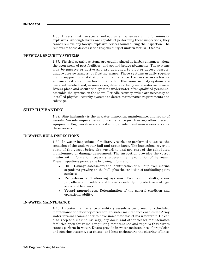1-36. Divers must use specialized equipment when searching for mines or explosives. Although divers are capable of performing these inspections, they cannot remove any foreign explosive devices found during the inspection. The removal of these devices is the responsibility of underwater EOD teams.

# **PHYSICAL SECURITY SYSTEMS**

1-37. Physical security systems are usually placed at harbor entrances, along the open areas of port facilities, and around bridge abutments. The systems may be passive or active and are designed to stop or detect vessels, underwater swimmers, or floating mines. These systems usually require diving support for installation and maintenance. Barriers across a harbor entrance restrict approaches to the harbor. Electronic security systems are designed to detect and, in some cases, deter attacks by underwater swimmers. Divers place and secure the systems underwater after qualified personnel assemble the systems on the shore. Periodic security swims are necessary on installed physical security systems to detect maintenance requirements and sabotage.

# **SHIP HUSBANDRY**

1-38. Ship husbandry is the in-water inspection, maintenance, and repair of vessels. Vessels require periodic maintenance just like any other piece of equipment. Engineer divers are tasked to provide maintenance assistance for these vessels.

### **IN-WATER HULL INSPECTIONS**

1-39. In-water inspections of military vessels are performed to assess the condition of the underwater hull and appendages. The inspections cover all parts of the vessel below the waterline and are part of the scheduled maintenance or damage assessment. The inspection provides the vessel master with information necessary to determine the condition of the vessel. These inspections provide the following information:

- **Hull.** Damage assessment and identification of buildup from marine organisms growing on the hull, plus the condition of antifouling paint surfaces.
- Propulsion and steering systems. Condition of shafts, screw propellers, and rudders and the serviceability of protective coatings, seals, and bearings.
- **Vessel appendages.** Determination of the general condition and operational ability.

# **IN-WATER MAINTENANCE**

1-40. In-water maintenance of military vessels is performed for scheduled maintenance or deficiency correction. In-water maintenance enables the Army water terminal commander to have immediate use of his watercraft. He can also keep the marine railway, dry dock, and other vessel maintenance facilities open for vessels requiring maintenance and repairs that divers cannot perform in-water. Divers provide in-water maintenance of propulsion and steering systems, sea chests, and heat exchangers; the clearing of lines,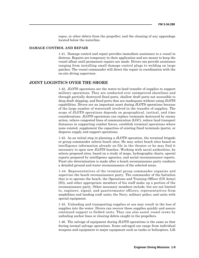ropes, or other debris from the propeller; and the cleaning of any appendage located below the waterline.

# **DAMAGE CONTROL AND REPAIR**

1-41. Damage control and repair provides immediate assistance to a vessel in distress. Repairs are temporary in their application and are meant to keep the vessel afloat until permanent repairs are made. Divers can provide assistance ranging from installing small damage control plugs to welding on large patches. The vessel commander will direct the repair in coordination with the on-site diving supervisor.

# **JOINT LOGISTICS OVER THE SHORE**

1-42. JLOTS operations are the water-to-land transfer of supplies to support military operations. They are conducted over unimproved shorelines and through partially destroyed fixed ports, shallow draft ports not accessible to deep-draft shipping, and fixed ports that are inadequate without using JLOTS capabilities. Divers are an important asset during JLOTS operations because of the large number of watercraft involved in the transfer of supplies. The scope of JLOTS operations depends on geographical, tactical, and time considerations. JLOTS operations can replace terminals destroyed by enemy action, relieve congested lines of communication (LOC), reduce land transport distances in supporting combat forces, establish terminal operations where none existed, supplement the capacities of existing fixed terminals (ports), or disperse supply and support operations.

1-43. As an initial step in planning a JLOTS operation, the terminal brigade or group commander selects beach sites. He may select beach sites based on intelligence information already on file in the theater or he may find it necessary to open new JLOTS beaches. Working with naval authorities, he selects proposed sites, based on a study of maps, hydrographic charts, special reports prepared by intelligence agencies, and aerial reconnaissance reports. Final site determination is made after a beach reconnaissance party conducts a detailed ground and water reconnaissance of the selected areas.

1-44. Representatives of the terminal group commander organize and supervise the beach reconnaissance party. The commander of the battalion that is to operate the beach, the Operations and Training Officer (US Army) (S3), and other appropriate members of his staff make up a portion of the reconnaissance party. Other necessary members include, but are not limited to, engineer, signal, and quartermaster officers; representatives from amphibian and landing craft units; the Navy; military police; and units with special equipment.

1-45. Unloading and transporting supplies at sea may result in the loss of supplies into the water. Divers can recover these supplies quickly and assure continued support to fielded units. They can also assist vessel crews by unfouling anchor lines or clearing debris caught in the propellers.

1-46. The salvage of equipment during JLOTS operations is the same as that during normal salvage operations. Items salvaged can range from individual weapons and equipment to major equipment such as tanks or helicopters. Lift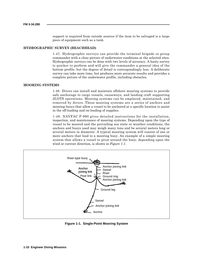support is required from outside sources if the item to be salvaged is a large piece of equipment such as a tank.

# **HYDROGRAPHIC SURVEY (BEACHHEAD)**

1-47. Hydrographic surveys can provide the terminal brigade or group commander with a clear picture of underwater conditions at the selected sites. Hydrographic surveys can be done with two levels of accuracy. A hasty survey is quicker to perform and will give the commander a general idea of the bottom profile, but the degree of detail is correspondingly less. A deliberate survey can take more time, but produces more accurate results and provides a complete picture of the underwater profile, including obstacles.

#### **MOORING SYSTEMS**

1-48. Divers can install and maintain offshore mooring systems to provide safe anchorage to cargo vessels, causeways, and landing craft supporting JLOTS operations. Mooring systems can be emplaced, maintained, and removed by divers. These mooring systems are a series of anchors and mooring buoys that allow a vessel to be anchored at a specific location to assist in the off-loading and on-loading of supplies.

1-49. NAVFAC P-990 gives detailed instructions for the installation, inspection, and maintenance of mooring systems. Depending upon the type of vessel to be moored and the prevailing sea state or weather conditions, the anchors and buoys used may weigh many tons and be several meters long or several meters in diameter. A typical mooring system will consist of one or more anchors that lead to a mooring buoy. An example of a simple mooring system that allows a vessel to pivot around the buoy, depending upon the wind or current direction, is shown in *Figure 1-1*.



**Figure 1-1. Single-Point Mooring System**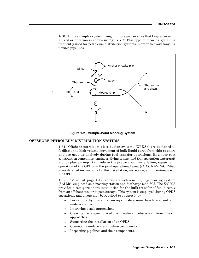1-50. A more complex system using multiple anchor sites that keep a vessel in a fixed orientation is shown in *Figure 1-2*. This type of mooring system is frequently used for petroleum distribution systems in order to avoid tangling flexible pipelines.



**Figure 1-2. Multiple-Point Mooring System**

# **OFFSHORE PETROLEUM DISTRIBUTION SYSTEMS**

1-51. Offshore petroleum distribution systems (OPDSs) are designed to facilitate the high-volume movement of bulk liquid cargo from ship to shore and are used extensively during fuel transfer operations. Engineer port construction companies, engineer diving teams, and transportation watercraft groups play an important role in the preparation, installation, repair, and operation of the OPDS in the joint operational area (JOA). NAVFAC P-990 gives detailed instructions for the installation, inspection, and maintenance of the OPDS.

1-52. *Figure 1-3,* page 1-12, shows a single-anchor, leg-mooring system (SALMS) emplaced as a mooring station and discharge manifold. The SALMS provides a semipermanent installation for the bulk transfer of fuel directly from an offshore tanker to port storage. This system is employed during OPDS operations, and divers may be required to support it by—

- Performing hydrographic surveys to determine beach gradient and underwater contour.
- Improving beach approaches.
- Clearing enemy-emplaced or natural obstacles from beach approaches.
- Supporting the installation of an OPDS.
- Connecting underwater-pipeline components.
- Inspecting pipelines and their components.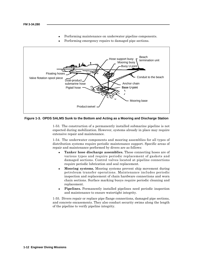- Performing maintenance on underwater pipeline components.
- Performing emergency repairs to damaged pipe sections.



**Figure 1-3. OPDS SALMS Sunk to the Bottom and Acting as a Mooring and Discharge Station**

1-53. The construction of a permanently installed submarine pipeline is not expected during mobilization. However, systems already in place may require extensive repair and maintenance.

1-54. The underwater components and mooring assemblies for all types of distribution systems require periodic maintenance support. Specific areas of repair and maintenance performed by divers are as follows:

- Tanker hose discharge assemblies. These connecting hoses are of various types and require periodic replacement of gaskets and damaged sections. Control valves located at pipeline connections require periodic lubrication and seal replacement.
- **Mooring systems.** Mooring systems prevent ship movement during petroleum transfer operations. Maintenance includes periodic inspection and replacement of chain hardware connections and worn chain sections. Surface marking buoys require periodic cleaning and replacement.
- **Pipelines.** Permanently installed pipelines need periodic inspection and maintenance to ensure watertight integrity.

1-55. Divers repair or replace pipe flange connections, damaged pipe sections, and concrete encasements. They also conduct security swims along the length of the pipeline to verify pipeline integrity.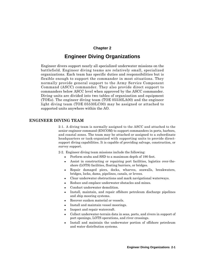# **Chapter 2**

# **Engineer Diving Organizations**

Engineer divers support nearly all specialized underwater missions on the battlefield. Engineer diving teams are relatively small, specialized organizations. Each team has specific duties and responsibilities but is flexible enough to support the commander in most situations. They normally provide general support to the Army Service Component Command (ASCC) commander. They also provide direct support to commanders below ASCC level when approved by the ASCC commander. Diving units are divided into two tables of organization and equipment (TOEs). The engineer diving team (TOE 05530LA00) and the engineer light diving team (TOE 05530LC00) may be assigned or attached to supported units anywhere within the AO.

# **ENGINEER DIVING TEAM**

2-1. A diving team is normally assigned to the ASCC and attached to the senior engineer command (ENCOM) to support commanders in ports, harbors, and coastal zones. The team may be attached or assigned to a subordinate headquarters or task-organized with supporting units to provide directsupport diving capabilities. It is capable of providing salvage, construction, or survey support.

2-2. Engineer diving team missions include the following:

- Perform scuba and SSD to a maximum depth of 190 feet.
- Assist in constructing or repairing port facilities, logistics over-theshore (LOTS) facilities, floating barriers, or bridges.
- Repair damaged piers, docks, wharves, seawalls, breakwaters, bridges, locks, dams, pipelines, canals, or levees.
- Clear underwater obstructions and mark navigational waterways.
- Reduce and emplace underwater obstacles and mines.
- Conduct underwater demolition.
- Install, maintain, and repair offshore petroleum discharge pipelines and ship mooring systems.
- Recover sunken material or vessels.
- Install and maintain vessel moorings.
- Inspect and repair watercraft.
- Collect underwater-terrain data in seas, ports, and rivers in support of port openings, LOTS operations, and river crossings.
- Install and maintain the underwater portion of offshore petroleum and water distribution systems.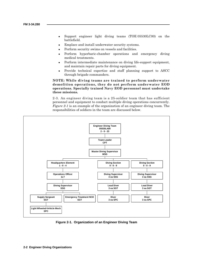- Support engineer light diving teams (TOE 05530LC00) on the battlefield.
- Emplace and install underwater security systems.
- Perform security swims on vessels and facilities.
- Perform hyperbaric-chamber operations and emergency diving medical treatments.
- Perform intermediate maintenance on diving life-support equipment, and maintain repair parts for diving equipment.
- Provide technical expertise and staff planning support to ASCC through brigade commanders.

**NOTE: While diving teams are trained to perform underwater demolition operations, they do not perform underwater EOD operations. Specially trained Navy EOD personnel must undertake these missions.**

2-3. An engineer diving team is a 25-soldier team that has sufficient personnel and equipment to conduct multiple diving operations concurrently. *Figure 2-1* is an example of the organization of an engineer diving team. The responsibilities of soldiers in the team are discussed below.



**Figure 2-1. Organization of an Engineer Diving Team**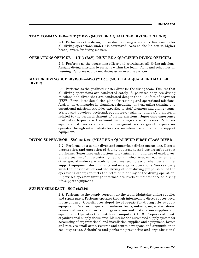# **TEAM COMMANDER—CPT (21B5V) (MUST BE A QUALIFIED DIVING OFFICER)**

2-4. Performs as the diving officer during diving operations. Responsible for all diving operations under his command. Acts as the liaison to higher headquarters for diving matters.

## **OPERATIONS OFFICER—1LT (21B5V) (MUST BE A QUALIFIED DIVING OFFICER)**

2-5. Performs as the operations officer and coordinates all diving missions. Assigns diving missions to sections within the team. Plans and schedules all training. Performs equivalent duties as an executive officer.

# **MASTER DIVING SUPERVISOR—MSG (21D50) (MUST BE A QUALIFIED MASTER DIVER)**

2-6. Performs as the qualified master diver for the diving team. Ensures that all diving operations are conducted safely. Supervises deep-sea diving missions and dives that are conducted deeper than 100 feet of seawater (FSW). Formulates demolition plans for training and operational missions. Assists the commander in planning, scheduling, and executing training and operational missions. Provides expertise to staff planners and diving teams. Writes and develops doctrinal, regulatory, training, and safety material related to the accomplishment of diving missions. Supervises emergency medical or hyperbaric treatment for diving-related illnesses. Performs equivalent duties as a detachment sergeant/first sergeant. Supervises operator through intermediate levels of maintenance on diving life-support equipment.

# **DIVING SUPERVISOR—SSG (21D30) (MUST BE A QUALIFIED FIRST-CLASS DIVER)**

2-7. Performs as a senior diver and supervises diving operations. Directs preparation and operation of diving equipment and watercraft support platforms. Supervises calculations for, training in, and use of explosives. Supervises use of underwater hydraulic- and electric-power equipment and other special underwater tools. Supervises recompression chamber and lifesupport equipment during diving and emergency operations. Works closely with the master diver and the diving officer during preparation of the operations order; conducts the detailed planning of the diving operation. Supervises operator through intermediate levels of maintenance on diving life-support equipment.

# **SUPPLY SERGEANT—SGT (92Y20)**

2-8. Performs as the supply sergeant for the team. Maintains diving supplies and repair parts. Performs operator through intermediate direct-support level maintenance. Coordinates depot-level repair for diving life-support equipment. Receives, inspects, inventories, loads, unloads, segregates, stores, issues, delivers, and turns in organization and installation supplies and equipment. Operates the unit-level computer (ULC). Prepares all unit/ organizational supply documents. Maintains the automated supply system for accounting of organizational and installation supplies and equipment. Issues and receives small arms. Secures and controls weapons and ammunition in security areas. Schedules and performs preventive and organizational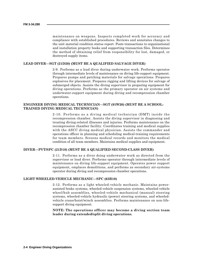maintenance on weapons. Inspects completed work for accuracy and compliance with established procedures. Reviews and annotates changes to the unit material condition status report. Posts transactions to organizational and installation property books and supporting transaction files. Determines the method of obtaining relief from responsibility for lost, damaged, or destroyed supply items.

## **LEAD DIVER—SGT (21D20) (MUST BE A QUALIFIED SALVAGE DIVER)**

2-9. Performs as a lead diver during underwater work. Performs operator through intermediate levels of maintenance on diving life-support equipment. Prepares pumps and patching materials for salvage operations. Prepares explosives for placement. Prepares rigging and lifting devices for salvage of submerged objects. Assists the diving supervisor in preparing equipment for diving operations. Performs as the primary operator on air systems and underwater-support equipment during diving and recompression chamber operations.

# **ENGINEER DIVING MEDICAL TECHNICIAN—SGT (91W20) (MUST BE A SCHOOL-TRAINED DIVING MEDICAL TECHNICIAN)**

2-10. Performs as a diving medical technician (DMT) inside the recompression chamber. Assists the diving supervisor in diagnosing and treating diving-related illnesses and injuries. Performs maintenance on the recompression chamber facility. Coordinates training and medical supplies with the ASCC diving medical physician. Assists the commander and operations officer in planning and scheduling medical-training requirements for team members. Screens medical records and monitors the medical condition of all team members. Maintains medical supplies and equipment.

# **DIVER—PVT/SPC (21D10) (MUST BE A QUALIFIED SECOND-CLASS DIVER)**

2-11. Performs as a diver doing underwater work as directed from the supervisor or lead diver. Performs operator through intermediate levels of maintenance on diving life-support equipment. Operates power support equipment, emplaces demolitions, and performs as secondary air-systems operator during diving and recompression chamber operations.

# **LIGHT WHEELED-VEHICLE MECHANIC—SPC (63B10)**

2-12. Performs as a light wheeled-vehicle mechanic. Maintains powerassisted brake systems, wheeled-vehicle suspension systems, wheeled-vehicle wheel/hub assemblies, wheeled-vehicle mechanical (manual) steering systems, wheeled-vehicle hydraulic (power) steering systems, and wheeledvehicle crane/hoist/winch assemblies. Performs maintenance on non-lifesupport diving equipment.

**NOTE: The operations officer may become a diving section team leader during extended/split diving operations.**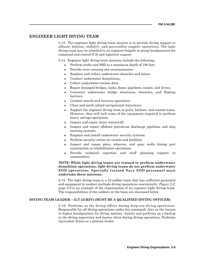# **ENGINEER LIGHT DIVING TEAM**

2-13. The engineer light diving team mission is to provide diving support to offense, defense, stability, and postconflict support operations. The light diving team may be attached to an engineer brigade or group headquarters for command and control (C2) and logistical support.

2-14. Engineer light diving team missions include the following:

- Perform scuba and SSD to a maximum depth of 190 feet.
- Provide river crossing site reconnaissance.
- Emplace and reduce underwater obstacles and mines.
- Conduct underwater demolitions.
- Collect underwater terrain data.
- Repair damaged bridges, locks, dams, pipelines, canals, and levees.
- Construct underwater bridge structures, obstacles, and floating barriers.
- Conduct search and recovery operations
- Clear and mark inland navigational waterways.
- Support the engineer diving team in ports, harbors, and coastal zones. However, they will lack some of the equipment required to perform heavy salvage operations.
- Inspect and repair Army watercraft.
- Inspect and repair offshore petroleum discharge pipelines and ship mooring systems.
- Emplace and install underwater security systems.
- Perform security swims on vessels and facilities.
- Inspect and repair piers, wharves, and quay walls during port construction or rehabilitation operations.
- Provide technical expertise and staff planning support to commanders.

# **NOTE: While light diving teams are trained to perform underwater demolition operations, light diving teams do not perform underwater EOD operations. Specially trained Navy EOD personnel must undertake these missions.**

2-15. The light diving team is a 22-soldier team that has sufficient personnel and equipment to conduct multiple diving operations concurrently. *Figure 2-2*, page 2-6 is an example of the organization of an engineer light diving team. The responsibilities of the soldiers in the team are discussed below.

# **DIVING TEAM LEADER—1LT (21B5V) (MUST BE A QUALIFIED DIVING OFFICER)**

2-16. Performs as the diving officer during deep-sea diving operations. Responsible for all diving operations under his command. Acts as the liaison to higher headquarters for diving matters. Assists and performs as a backup to the diving supervisor and master diver during diving operations. Performs equivalent duties as a platoon leader.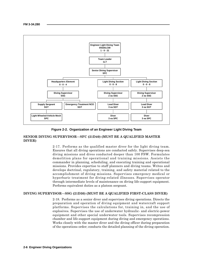![](_page_23_Figure_1.jpeg)

**Figure 2-2. Organization of an Engineer Light Diving Team**

# **SENIOR DIVING SUPERVISOR—SFC (21D40) (MUST BE A QUALIFIED MASTER DIVER)**

2-17. Performs as the qualified master diver for the light diving team. Ensures that all diving operations are conducted safely. Supervises deep-sea diving missions and dives conducted deeper than 100 FSW. Formulates demolition plans for operational and training missions. Assists the commander in planning, scheduling, and executing training and operational missions. Provides expertise to staff planners and diving teams. Writes and develops doctrinal, regulatory, training, and safety material related to the accomplishment of diving missions. Supervises emergency medical or hyperbaric treatment for diving-related illnesses. Supervises operator through intermediate levels of maintenance on diving life-support equipment. Performs equivalent duties as a platoon sergeant.

# **DIVING SUPERVISOR—SSG (21D30) (MUST BE A QUALIFIED FIRST-CLASS DIVER)**

2-18. Performs as a senior diver and supervises diving operations. Directs the preparation and operation of diving equipment and watercraft support platforms. Supervises the calculations for, training in, and the use of explosives. Supervises the use of underwater hydraulic- and electric-power equipment and other special underwater tools. Supervises recompression chamber and life-support equipment during diving and emergency operations. Works closely with the master diver and the diving officer during preparation of the operations order; conducts the detailed planning of the diving operation.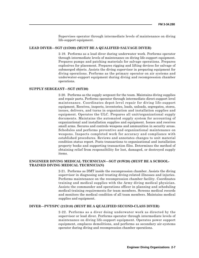Supervises operator through intermediate levels of maintenance on diving life-support equipment.

# **LEAD DIVER—SGT (21D20) (MUST BE A QUALIFIED SALVAGE DIVER)**

2-19. Performs as a lead diver during underwater work. Performs operator through intermediate levels of maintenance on diving life-support equipment. Prepares pumps and patching materials for salvage operations. Prepares explosives for placement. Prepares rigging and lifting devices for salvage of submerged objects. Assists the diving supervisor in preparing equipment for diving operations. Performs as the primary operator on air systems and underwater-support equipment during diving and recompression chamber operations.

# **SUPPLY SERGEANT—SGT (92Y20)**

2-20. Performs as the supply sergeant for the team. Maintains diving supplies and repair parts. Performs operator through intermediate direct-support level maintenance. Coordinates depot-level repair for diving life-support equipment. Receives, inspects, inventories, loads, unloads, segregates, stores, issues, delivers, and turns in organization and installation supplies and equipment. Operates the ULC. Prepares all unit/organizational supply documents. Maintains the automated supply system for accounting of organizational and installation supplies and equipment. Issues and receives small arms. Secures and controls weapons and ammunition in security areas. Schedules and performs preventive and organizational maintenance on weapons. Inspects completed work for accuracy and compliance with established procedures. Reviews and annotates changes to unit material condition status report. Posts transactions to organizational and installation property books and supporting transaction files. Determines the method of obtaining relief from responsibility for lost, damaged, or destroyed supply items.

# **ENGINEER DIVING MEDICAL TECHNICIAN—SGT (91W20) (MUST BE A SCHOOL-TRAINED DIVING MEDICAL TECHNICIAN)**

2-21. Performs as DMT inside the recompression chamber. Assists the diving supervisor in diagnosing and treating diving-related illnesses and injuries. Performs maintenance on the recompression chamber facility. Coordinates training and medical supplies with the Army diving medical physician. Assists the commander and operations officer in planning and scheduling medical-training requirements for team members. Screens medical records and monitors the medical condition of all team members. Maintains medical supplies and equipment.

# **DIVER—PVT/SPC (21D10) (MUST BE A QUALIFIED SECOND-CLASS DIVER)**

2-22. Performs as a diver doing underwater work as directed by the supervisor or lead diver. Performs operator through intermediate levels of maintenance on diving life-support equipment. Operates power support equipment, emplaces demolitions, and performs as secondary air-systems operator during diving and recompression chamber operations.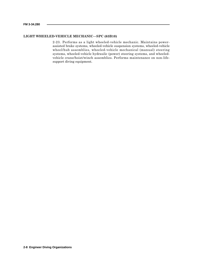# **LIGHT WHEELED-VEHICLE MECHANIC—SPC (63B10)**

2-23. Performs as a light wheeled-vehicle mechanic. Maintains powerassisted brake systems, wheeled-vehicle suspension systems, wheeled-vehicle wheel/hub assemblies, wheeled-vehicle mechanical (manual) steering systems, wheeled-vehicle hydraulic (power) steering systems, and wheeledvehicle crane/hoist/winch assemblies. Performs maintenance on non-lifesupport diving equipment.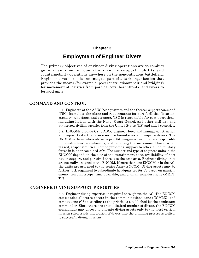# **Chapter 3**

# **Employment of Engineer Divers**

The primary objectives of engineer diving operations are to conduct general engineering operations and to support mobility and countermobility operations anywhere on the noncontiguous battlefield. Engineer divers are also an integral part of a task organization that provides the means (for example, port construction/repair and bridging) for movement of logistics from port harbors, beachfronts, and rivers to forward units.

# **COMMAND AND CONTROL**

3-1. Engineers at the ASCC headquarters and the theater support command (TSC) formulate the plans and requirements for port facilities (location, capacity, wharfage, and storage). TSC is responsible for port operations, including liaison with the Navy, Coast Guard, and other military and authorized civilian agencies from the United States (US) and allied countries.

3-2. ENCOMs provide C2 to ASCC engineer force and manage construction and repair tasks that cross-service boundaries and require divers. The ENCOM is the echelons above corps (EAC) engineer headquarters responsible for constructing, maintaining, and repairing the sustainment base. When tasked, responsibilities include providing support to other allied military forces in joint or combined AOs. The number and type of engineer units in the ENCOM depend on the size of the sustainment base, availability of host nation support, and perceived threat to the rear area. Engineer diving units are normally assigned to the ENCOM. If more than one ENCOM is in the AO, the units are assigned to the senior Army ENCOM. Diving assets may be further task-organized to subordinate headquarters for C2 based on mission, enemy, terrain, troops, time available, and civilian considerations (METT-TC).

# **ENGINEER DIVING SUPPORT PRIORITIES**

3-3. Engineer diving expertise is required throughout the AO. The ENCOM commander allocates assets in the communications zone (COMMZ) and combat zone (CZ) according to the priorities established by the combatant commander. Since there are only a limited number of divers, the ENCOM commander may choose to allocate diving assets only to the most critical mission sites. Early integration of divers into the planning process is critical to successful diving missions.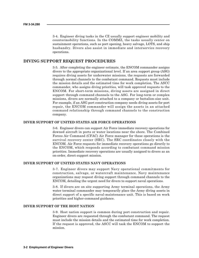3-4. Engineer diving tasks in the CZ usually support engineer mobility and countermobility functions. In the COMMZ, the tasks usually center on sustainment operations, such as port opening, heavy salvage, LOTS, and ship husbandry. Divers also assist in immediate and interservice recovery operations.

# **DIVING SUPPORT REQUEST PROCEDURES**

3-5. After completing the engineer estimate, the ENCOM commander assigns divers to the appropriate organizational level. If an area support group (ASG) requires diving assets for underwater missions, the requests are forwarded through normal channels to the combatant command. Requests must include the mission details and the estimated time for work completion. The ASCC commander, who assigns diving priorities, will task approved requests to the ENCOM. For short-term missions, diving assets are assigned in direct support through command channels to the ASG. For long-term or complex missions, divers are normally attached to a company or battalion-size unit. For example, if an ASG port construction company needs diving assets for port repair, the ENCOM commander will assign the assets in an attached command relationship through command channels to the construction company.

# **DIVER SUPPORT OF UNITED STATES AIR FORCE OPERATIONS**

3-6. Engineer divers can support Air Force immediate recovery operations for downed aircraft in ports or water locations near the shore. The Combined Forces Air Command (CFAC) Air Force manager for these operations is the survival recovery center (SRC). The SRC coordinates closely with the ENCOM. Air Force requests for immediate recovery operations go directly to the ENCOM, which responds according to combatant command mission priorities. Immediate recovery operations are usually assigned to divers as an on-order, direct-support mission.

# **DIVER SUPPORT OF UNITED STATES NAVY OPERATIONS**

3-7. Engineer divers may support Navy operational commitments for construction, salvage, or watercraft maintenance. Navy maintenance organizations may request diving support through command channels to the ENCOM, detailing the urgent need for divers to support naval operations.

3-8. If divers are on site supporting Army terminal operations, the Army water terminal commander may temporarily place the Army diving assets in direct support of a specific naval-maintenance unit. This is based on work priorities and higher-command guidance.

# **DIVER SUPPORT OF THE HOST NATION**

3-9. Host nation support is common during port construction and repair. Engineer divers are requested through the combatant command. The request must include the mission details and the estimated time for work completion. If the request is approved, the ASCC will task the ENCOM to support the mission.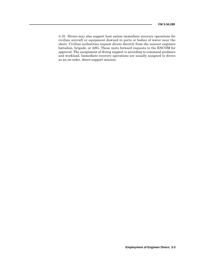3-10. Divers may also support host nation immediate recovery operations for civilian aircraft or equipment downed in ports or bodies of water near the shore. Civilian authorities request divers directly from the nearest engineer battalion, brigade, or ASG. These units forward requests to the ENCOM for approval. The assignment of diving support is according to command guidance and workload. Immediate recovery operations are usually assigned to divers as an on-order, direct-support mission.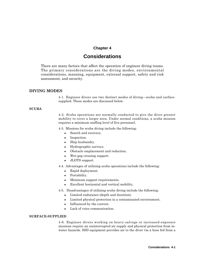# **Chapter 4**

# **Considerations**

There are many factors that affect the operation of engineer diving teams. The primary considerations are the diving modes, environmental considerations, manning, equipment, external support, safety and risk assessment, and security.

# **DIVING MODES**

4-1. Engineer divers use two distinct modes of diving—scuba and surfacesupplied. These modes are discussed below.

# **SCUBA**

4-2. Scuba operations are normally conducted to give the diver greater mobility to cover a larger area. Under normal conditions, a scuba mission requires a minimum staffing level of five personnel.

4-3. Missions for scuba diving include the following:

- Search and recovery.
- Inspection.
- Ship husbandry.
- Hydrographic surveys.
- Obstacle emplacement and reduction.
- Wet-gap crossing support.
- JLOTS support.

4-4. Advantages of utilizing scuba operations include the following:

- Rapid deployment.
- Portability.
- Minimum support requirements.
- Excellent horizontal and vertical mobility.

4-5. Disadvantages of utilizing scuba diving include the following:

- Limited endurance (depth and duration).
- Limited physical protection in a contaminated environment.
- Influenced by the current.
- Lack of voice communication.

# **SURFACE-SUPPLIED**

4-6. Engineer divers working on heavy-salvage or increased-exposure missions require an uninterrupted air supply and physical protection from inwater hazards. SSD equipment provides air to the diver via a hose fed from a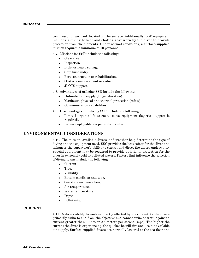compressor or air bank located on the surface. Additionally, SSD equipment includes a diving helmet and chafing gear worn by the diver to provide protection from the elements. Under normal conditions, a surface-supplied mission requires a minimum of 10 personnel.

4-7. Missions for SSD include the following:

- Clearance.
- Inspection.
- Light or heavy salvage.
- Ship husbandry.
- Port construction or rehabilitation.
- Obstacle emplacement or reduction.
- JLOTS support.

4-8. Advantages of utilizing SSD include the following:

- Unlimited air supply (longer duration).
- Maximum physical and thermal protection (safety).
- Communication capabilities.

4-9. Disadvantages of utilizing SSD include the following:

- Limited organic lift assets to move equipment (logistics support is required).
- Larger deployable footprint than scuba.

# **ENVIRONMENTAL CONSIDERATIONS**

4-10. The mission, available divers, and weather help determine the type of diving and the equipment used. SSC provides the best safety for the diver and enhances the supervisor's ability to control and direct the divers underwater. Special equipment may be required to provide additional protection for the diver in extremely cold or polluted waters. Factors that influence the selection of diving teams include the following:

- Current.
- Tide.
- Visibility.
- Bottom condition and type.
- Sea state and wave height.
- Air temperature.
- Water temperature.
- Depth.
- Pollutants.

# **CURRENT**

4-11. A divers ability to work is directly affected by the current. Scuba divers primarily swim to and from the objective and cannot swim or work against a current greater than 1 knot or 0.5 meters per second (mps). The higher the current the diver is experiencing, the quicker he will tire and use his available air supply. Surface-supplied divers are normally lowered to the sea floor and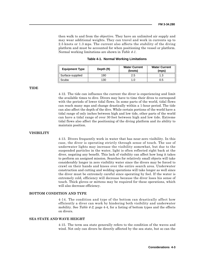then walk to and from the objective. They have an unlimited air supply and may wear additional weights. They can travel and work in currents up to 2.5 knots or 1.3 mps. The current also affects the stability of the diving platform and must be accounted for when positioning the vessel or platform. Normal working limitations are shown in *Table 4-1*.

| <b>Equipment Type</b> | Depth (ft) | <b>Water Current</b><br>(knots) | <b>Water Current</b><br>(mps) |
|-----------------------|------------|---------------------------------|-------------------------------|
| Surface-supplied      | 190        | 2.5                             |                               |
| Scuba                 | 130        | 1.0                             | 0.5                           |

**Table 4-1. Normal Working Limitations**

**TIDE**

4-12. The tide can influence the current the diver is experiencing and limit the available times to dive. Divers may have to time their dives to correspond with the periods of lower tidal flows. In some parts of the world, tidal flows can reach many mps and change drastically within a 1-hour period. The tide can also affect the depth of the dive. While certain portions of the world have a tidal range of only inches between high and low tide, other parts of the world can have a tidal range of over 30 feet between high and low tide. Extreme tidal flows also affect the positioning of the diving platform and its ability to maintain position.

# **VISIBILITY**

4-13. Divers frequently work in water that has near-zero visibility. In this case, the diver is operating strictly through sense of touch. The use of underwater lights may increase the visibility somewhat, but due to the suspended particles in the water, light is often reflected right back at the diver, negating any benefit. This lack of visibility can affect how long it takes to perform an assigned mission. Searches for relatively small objects will take considerably longer in zero visibility water since the divers may be forced to crawl on their hands and knees over the entire search area. Underwater construction and cutting and welding operations will take longer as well since the diver must be extremely careful since operating by feel. If the water is extremely cold, efficiency will decrease because the diver loses his sense of touch. Thick gloves or mittens may be required for these operations, which will also decrease efficiency.

# **BOTTOM CONDITION AND TYPE**

4-14. The condition and type of the bottom can drastically affect how efficiently a diver can work by hindering both visibility and underwater mobility. See *Table 4-2*, page 4-4, for a listing of bottom types and the effects on divers.

# **SEA STATE AND WAVE HEIGHT**

4-15. The term sea state generally refers to the condition of the waves and wind. Not only can divers be directly affected by the sea state, but so can the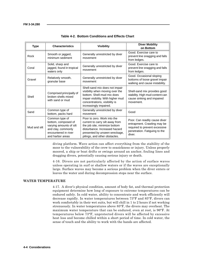| <b>Type</b>  | <b>Characteristics</b>                                                                                                             | <b>Visibility</b>                                                                                                                                                                                  | <b>Diver Mobility</b><br>on Bottom                                                                                                       |
|--------------|------------------------------------------------------------------------------------------------------------------------------------|----------------------------------------------------------------------------------------------------------------------------------------------------------------------------------------------------|------------------------------------------------------------------------------------------------------------------------------------------|
| Rock         | Smooth or jagged,<br>minimum sediment                                                                                              | Generally unrestricted by diver<br>movement                                                                                                                                                        | Good. Exercise care to<br>prevent line snagging and falls<br>from ledges.                                                                |
| Coral        | Solid, sharp and<br>jagged, found in tropical<br>waters only                                                                       | Generally unrestricted by diver<br>movement                                                                                                                                                        | Good. Exercise care to<br>prevent line snagging and falls<br>from ledges.                                                                |
| Gravel       | Relatively smooth,<br>granular base                                                                                                | Generally unrestricted by diver<br>movement                                                                                                                                                        | Good. Occasional sloping<br>bottoms of loose gravel impair<br>walking and cause instability.                                             |
| Shell        | Comprised principally of<br>broken shells mixed<br>with sand or mud                                                                | Shell-sand mix does not impair<br>visibility when moving over the<br>bottom. Shell-mud mix does<br>impair visibility. With higher mud<br>concentrations, visibility is<br>increasingly impaired.   | Shell-sand mix provides good<br>stability. High mud content can<br>cause sinking and impaired<br>movement.                               |
| Sand         | Common type of<br>bottom, packs hard                                                                                               | Generally unrestricted by diver<br>movement                                                                                                                                                        | Good                                                                                                                                     |
| Mud and silt | Common type of<br>bottom, composed of<br>varying amounts of silt<br>and clay, commonly<br>encountered in river<br>and harbor areas | Poor to zero. Work into the<br>current to carry silt away from<br>the job site, minimize bottom<br>disturbance. Increased hazard<br>presented by unseen wreckage,<br>pilings, and other obstacles. | Poor. Can readily cause diver<br>entrapment. Crawling may be<br>required to prevent excessive<br>penetration. Fatiguing to the<br>diver. |

|  |  | Table 4-2. Bottom Conditions and Effects Chart |  |  |  |
|--|--|------------------------------------------------|--|--|--|
|--|--|------------------------------------------------|--|--|--|

diving platform. Wave action can affect everything from the stability of the moor to the vulnerability of the crew to seasickness or injury. Unless properly moored, a ship or boat drifts or swings around an anchor, fouling lines and dragging divers, potentially causing serious injury or death.

4-16. Divers are not particularly affected by the action of surface waves unless operating in surf or shallow waters or if the waves are exceptionally large. Surface waves may become a serious problem when the diver enters or leaves the water and during decompression stops near the surface.

# **WATER TEMPERATURE**

4-17. A diver's physical condition, amount of body fat, and thermal protection equipment determine how long of exposure to extreme temperatures can be endured safely. In cold water, ability to concentrate and work efficiently will decrease rapidly. In water temperatures between 73°F and 85°F, divers can work comfortably in their wet suits, but will chill in 1 to 2 hours if not working strenuously. In water temperatures above 85°F, the divers may overheat. The maximum water temperature that can be endured, even at rest, is 96°F. At temperatures below 73°F, unprotected divers will be affected by excessive heat loss and become chilled within a short period of time. In cold water, the sense of touch and the ability to work with the hands are affected.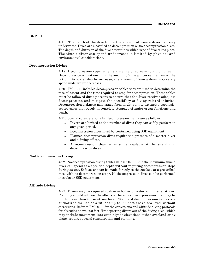# **DEPTH**

4-18. The depth of the dive limits the amount of time a diver can stay underwater. Dives are classified as decompression or no-decompression dives. The depth and duration of the dive determines which type of dive takes place. The time a diver can spend underwater is limited by physical and environmental considerations.

# **Decompression Diving**

4-19. Decompression requirements are a major concern to a diving team. Decompression obligations limit the amount of time a diver can remain on the bottom. As water depths increase, the amount of time a diver may safely spend underwater decreases.

4-20. FM 20-11 includes decompression tables that are used to determine the rate of ascent and the time required to stop for decompression. These tables must be followed during ascent to ensure that the diver receives adequate decompression and mitigate the possibility of diving-related injuries. Decompression sickness may range from slight pain to extensive paralysis; severe cases may result in complete stoppage of major organ functions and death.

4-21. Special considerations for decompression diving are as follows:

- Divers are limited to the number of dives they can safely perform in any given period.
- Decompression dives must be performed using SSD equipment.
- Planned decompression dives require the presence of a master diver and a diving officer.
- A recompression chamber must be available at the site during decompression dives.

# **No-Decompression Diving**

4-22. No-decompression diving tables in FM 20-11 limit the maximum time a diver can spend at a specified depth without requiring decompression stops during ascent. Safe ascent can be made directly to the surface, at a prescribed rate, with no decompression stops. No-decompression dives can be performed in scuba or SSD equipment.

# **Altitude Diving**

4-23. Divers may be required to dive in bodies of water at higher altitudes. Planning should address the effects of the atmospheric pressures that may be much lower than those at sea level. Standard decompression tables are authorized for use at altitudes up to 300 feet above sea level without corrections. Refer to FM 20-11 for the corrections and altitude diving protocols for altitudes above 300 feet. Transporting divers out of the diving area, which may include movement into even higher elevations either overland or by plane, requires special consideration and planning.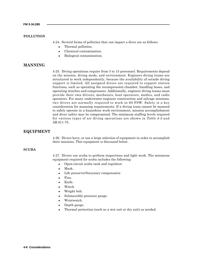# **POLLUTION**

4-24. Several forms of pollution that can impact a diver are as follows:

- Thermal pollution.
- Chemical contamination.
- Biological contamination.

# **MANNING**

4-25. Diving operations require from 5 to 15 personnel. Requirements depend on the mission, diving mode, and environment. Engineer diving teams are structured to work independently, because the availability of outside diving support is limited. All assigned divers are required to support station functions, such as operating the recompression chamber, handling hoses, and operating winches and compressors. Additionally, engineer diving teams must provide their own drivers, mechanics, boat operators, medics, and radio operators. For many underwater engineer construction and salvage missions, two divers are normally required to work in 60 FSW. Safety is a key consideration for manning requirements. If a diving team cannot be manned to safely operate in a hazardous work environment, mission accomplishment and diver safety may be compromised. The minimum staffing levels required for various types of air diving operations are shown in *Table 4-3* and AR 611-75.

# **EQUIPMENT**

4-26. Divers have, or use a large selection of equipment in order to accomplish their missions. This equipment is discussed below.

# **SCUBA**

4-27. Divers use scuba to perform inspections and light work. The minimum equipment required for scuba includes the following:

- Open-circuit scuba tank and regulator.
- Mask.
- Life preserver/buoyancy compensator.
- Fins.
- Knife.
- Watch.
- Weight belt.
- Submersible pressure gauge.
- Wristwatch.
- Depth gauge.
- Thermal protection (such as a wet suit or dry suit) as needed.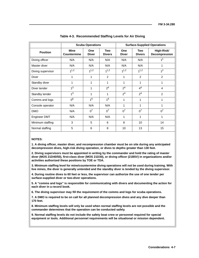|                   | <b>Scuba Operations</b>           |                     |                             | <b>Surface-Supplied Operations</b> |                      |                             |
|-------------------|-----------------------------------|---------------------|-----------------------------|------------------------------------|----------------------|-----------------------------|
| <b>Position</b>   | <b>Mine</b><br><b>Countermine</b> | One<br><b>Diver</b> | <b>Two</b><br><b>Divers</b> | One<br><b>Diver</b>                | Two<br><b>Divers</b> | High-Risk/<br>Decompression |
| Diving officer    | N/A                               | N/A                 | N/A                         | N/A                                | N/A                  | 1 <sup>1</sup>              |
| Master diver      | N/A                               | N/A                 | N/A                         | N/A                                | N/A                  | 1                           |
| Diving supervisor | 1 <sup>1,2</sup>                  | 1 <sup>1,2</sup>    | 1 <sup>1,2</sup>            | 1 <sup>1,2</sup>                   | 1 <sup>1,2</sup>     | 1 <sup>2</sup>              |
| <b>Diver</b>      | 1                                 | 1                   | 2                           | 1                                  | 2                    | $\overline{2}$              |
| Standby diver     | 1                                 | 1                   | 1                           | 1                                  | 1                    | 1                           |
| Diver tender      | 1 <sup>3</sup>                    | 1                   | 2 <sup>4</sup>              | 2 <sup>4</sup>                     | 4 <sup>4</sup>       | 4                           |
| Standby tender    | 1 <sup>3</sup>                    | 1                   | 1                           | 2 <sup>4</sup>                     | 2 <sup>4</sup>       | $\overline{2}$              |
| Comms and logs    | 0 <sup>6</sup>                    | 1 <sup>6</sup>      | 1 <sup>6</sup>              | 1                                  | 1                    | 1                           |
| Console operator  | N/A                               | N/A                 | N/A                         | 1                                  | 1                    | 1                           |
| <b>DMO</b>        | N/A                               | 0 <sup>7</sup>      | 0 <sup>7</sup>              | 0 <sup>7</sup>                     | $0^7$                | 0 <sup>7</sup>              |
| Engineer DMT      | N/A                               | N/A                 | N/A                         | 1                                  | 1                    | 1                           |
| Minimum staffing  | 3                                 | 5                   | 6                           | 8                                  | 10                   | 14                          |
| Normal staffing   | 5                                 | 6                   | 8                           | 10                                 | 13                   | 15                          |

**Table 4-3. Recommended Staffing Levels for Air Diving**

# **NOTES:**

**1. A diving officer, master diver, and recompression chamber must be on site during any anticipated decompression dives, high-risk diving operation, or dives to depths greater than 130 feet.**

**2. Diving supervisors must be appointed in writing by the commander and hold the rating of master diver (MOS 21D40/50), first-class diver (MOS 21D30), or diving officer (21B5V) in organizations and/or activities authorized these positions by TOE or TDA.**

**3. Minimum staffing level for mine/countermine diving operations will not be used during training. With live mines, the diver is generally untended and the standby diver is tended by the diving supervisor.**

**4. During routine dives to 60 feet or less, the supervisor can authorize the use of one tender per surface-supplied diver or two-diver operations.**

**5. A "comms and logs" is responsible for communicating with divers and documenting the action for each diver in a record book.**

**6. The diving supervisor may fill the requirement of the comms and logs for scuba operations.**

**7. A DMO is required to be on call for all planned decompression dives and any dive deeper than 170 feet.**

**8. Minimum staffing levels will only be used when normal staffing levels are not possible and the commander determines that the operation can be conducted safely.**

**9. Normal staffing levels do not include the safety boat crew or personnel required for special equipment or tools. Additional personnel requirements will be situational or mission dependent.**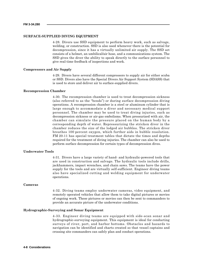### **SURFACE-SUPPLIED DIVING EQUIPMENT**

4-28. Divers use SSD equipment to perform heavy work, such as salvage, welding, or construction. SSD is also used whenever there is the potential for decompression, since it has a virtually unlimited air supply. The SSD set consists of a helmet, an umbilical/air hose, and a communications system. The SSD gives the diver the ability to speak directly to the surface personnel to give real-time feedback of inspections and work.

#### **Compressors and Air Supply**

4-29. Divers have several different compressors to supply air for either scuba or SSD. Divers also have the Special Divers Air Support System (SDASS) that is used to store and deliver air to surface-supplied divers.

#### **Recompression Chamber**

4-30. The recompression chamber is used to treat decompression sickness (also referred to as the "bends") or during surface decompression diving operations. A recompression chamber is a steel or aluminum cylinder that is large enough to accommodate a diver and necessary medical support personnel. The chamber may be used to treat diving injuries, such as decompression sickness or air-gas embolisms. When pressurized with air, the chamber can simulate the pressure placed on the human body by a corresponding depth of water. Repressurizing the stricken diver in the chamber reduces the size of the lodged air bubbles. The stricken diver breathes 100 percent oxygen, which further aids in bubble resolution. FM 20-11 has special treatment tables that dictate the times and depths required for the treatment of diving injuries. The chamber can also be used to perform surface decompression for certain types of decompression dives.

# **Underwater Tools**

4-31. Divers have a large variety of hand- and hydraulic-powered tools that are used in construction and salvage. The hydraulic tools include drills, jackhammers, impact wrenches, and chain saws. The teams have the power supply for the tools and are virtually self-sufficient. Engineer diving teams also have specialized cutting and welding equipment for underwater operations.

# **Cameras**

4-32. Diving teams employ underwater cameras, video equipment, and remotely operated vehicles that allow them to take digital pictures or movies of ongoing work. These pictures or movies can then be sent to commanders to provide an accurate picture of the underwater conditions.

# **Hydrographic-Surveying and Sonar Equipment**

4-33. Engineer diving teams are equipped with side-scan sonar and hydrographic-surveying equipment. This equipment is ideal for conducting surveys of river, port, and harbor bottoms. Obstacles and hazards to navigation can be identified and charts created so that vessel captains and crossing site commanders can safely plan and conduct operations.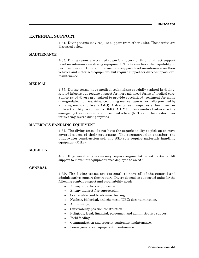# **EXTERNAL SUPPORT**

4-34. Diving teams may require support from other units. These units are discussed below.

# **MAINTENANCE**

4-35. Diving teams are trained to perform operator through direct-support level maintenance on diving equipment. The teams have the capability to perform operator through intermediate-support level maintenance on their vehicles and motorized equipment, but require support for direct-support level maintenance.

# **MEDICAL**

4-36. Diving teams have medical technicians specially trained in divingrelated injuries but require support for more advanced forms of medical care. Senior-rated divers are trained to provide specialized treatment for many diving-related injuries. Advanced diving medical care is normally provided by a diving medical officer (DMO). A diving team requires either direct or indirect ability to contact a DMO. A DMO offers medical advice to the emergency treatment noncommissioned officer (NCO) and the master diver for treating severe diving injuries.

# **MATERIALS-HANDLING EQUIPMENT**

4-37. The diving teams do not have the organic ability to pick up or move several pieces of their equipment. The recompression chamber, the underwater construction set, and SSD sets require materials-handling equipment (MHE).

# **MOBILITY**

4-38. Engineer diving teams may require augmentation with external lift support to move unit equipment once deployed to an AO.

# **GENERAL**

4-39. The diving teams are too small to have all of the general and administrative support they require. Divers depend on supported units for the following combat support and survivability needs:

- Enemy air attack suppression.
- Enemy indirect-fire suppression.
- Scatterable- and fixed-mine clearing.
- Nuclear, biological, and chemical (NBC) decontamination.
- Ammunition.
- Survivability position construction.
- <sup>z</sup> Religious, legal, financial, personnel, and administrative support.
- Field feeding.
- Communication and security equipment maintenance.
- Power generation equipment maintenance.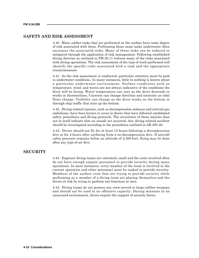# **SAFETY AND RISK ASSESSMENT**

4-40. Many soldier tasks that are performed on the surface have some degree of risk associated with them. Performing those same tasks underwater often increases the associated risks. Many of these risks can be reduced or mitigated through the application of risk management. Following established diving doctrine as outlined in FM 20-11 reduces many of the risks associated with diving operations. The risk assessment of the type of work performed will identify the specific risks associated with a task and the appropriate countermeasure.

4-41. As the risk assessment is conducted, particular attention must be paid to underwater conditions. In many instances, little to nothing is known about a particular underwater environment. Surface conditions such as temperature, wind, and waves are not always indicative of the conditions the diver will be facing. Water temperature can vary as the diver descends or works in thermoclines. Currents can change direction and intensity as tidal flows change. Visibility can change as the diver works on the bottom or through ship traffic that stirs up the bottom.

4-42. Diving-related injuries, such as decompression sickness and arterial gas embolisms, have been known to occur in divers that have followed established safety procedures and diving protocols. The occurrence of these injuries does not in itself indicate that an unsafe act occurred. Any diving-related accident should be investigated according to the procedures outlined in AR 385-40.

4-43. Divers should not fly for at least 12 hours following a decompression dive or for 2 hours after surfacing from a no-decompression dive. If aircraft cabin pressure remains below an altitude of 2,300 feet, flying may be done after any type of air dive.

# **SECURITY**

4-44. Engineer diving teams are extremely small and the units involved often do not have enough organic personnel to provide security during many operations. In most instances, every member of the team is involved in the current operation and other personnel must be tasked to provide security. Members of the surface crew that are trying to provide security while performing as a member of a diving team are placing themselves and the divers at risk by trying to perform two functions at once.

4-45. Diving teams do not possess any crew-served or large-caliber weapons and should not be used in an offensive capacity. During missions in an unsecured environment, divers require the support of security forces.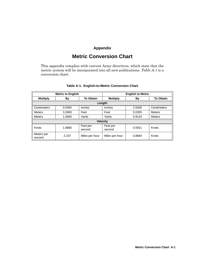# **Appendix**

# **Metric Conversion Chart**

This appendix complies with current Army directives, which state that the metric system will be incorporated into all new publications. *Table A-1* is a conversion chart.

| <b>Metric to English</b> |        |                    | <b>English to Metric</b>                  |        |               |
|--------------------------|--------|--------------------|-------------------------------------------|--------|---------------|
| <b>Multiply</b>          | By     | <b>To Obtain</b>   | <b>To Obtain</b><br><b>Multiply</b><br>By |        |               |
|                          |        |                    | Length                                    |        |               |
| Centimeters              | 0.0394 | Inches             | Inches                                    | 2.5400 | Centimeters   |
| <b>Meters</b>            | 3.2800 | Feet               | Feet                                      | 0.0305 | <b>Meters</b> |
| <b>Meters</b>            | 1.0940 | Yards              | Yards                                     | 0.9144 | <b>Meters</b> |
| <b>Velocity</b>          |        |                    |                                           |        |               |
| Knots                    | 1.6880 | Feet per<br>second | Feet per<br>second                        | 0.5921 | Knots         |
| Meters per<br>second     | 2.237  | Miles per hour     | Miles per hour                            | 0.8684 | Knots         |

# **Table A-1. English-to-Metric Conversion Chart**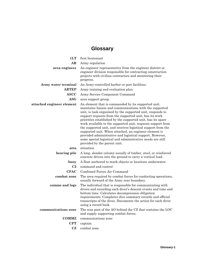# **Glossary**

| 1LT                       | first lieutenant                                                                                                                                                                                                                                                                                                                                                                                                                                                                                                                                                                                                                                        |
|---------------------------|---------------------------------------------------------------------------------------------------------------------------------------------------------------------------------------------------------------------------------------------------------------------------------------------------------------------------------------------------------------------------------------------------------------------------------------------------------------------------------------------------------------------------------------------------------------------------------------------------------------------------------------------------------|
| AR                        | Army regulation                                                                                                                                                                                                                                                                                                                                                                                                                                                                                                                                                                                                                                         |
| area engineer             | An engineer representative from the engineer district or<br>engineer division responsible for contracting construction<br>projects with civilian contractors and monitoring their<br>progress.                                                                                                                                                                                                                                                                                                                                                                                                                                                          |
| Army water terminal       | An Army-controlled harbor or port facilities.                                                                                                                                                                                                                                                                                                                                                                                                                                                                                                                                                                                                           |
| <b>ARTEP</b>              | Army training and evaluation plan                                                                                                                                                                                                                                                                                                                                                                                                                                                                                                                                                                                                                       |
| <b>ASCC</b>               | Army Service Component Command                                                                                                                                                                                                                                                                                                                                                                                                                                                                                                                                                                                                                          |
| $\bf{ASG}$                | area support group                                                                                                                                                                                                                                                                                                                                                                                                                                                                                                                                                                                                                                      |
| attached engineer element | An element that is commanded by its supported unit,<br>maintains liaison and communications with the supported<br>unit, is task-organized by the supported unit, responds to<br>support requests from the supported unit, has its work<br>priorities established by the supported unit, has its spare<br>work available to the supported unit, requests support from<br>the supported unit, and receives logistical support from the<br>supported unit. When attached, an engineer element is<br>provided administrative and logistical support. However,<br>some special logistical and administrative needs are still<br>provided by the parent unit. |
| attn                      | attention                                                                                                                                                                                                                                                                                                                                                                                                                                                                                                                                                                                                                                               |
| bearing pile              | A long, slender column usually of timber, steel, or reinforced<br>concrete driven into the ground to carry a vertical load.                                                                                                                                                                                                                                                                                                                                                                                                                                                                                                                             |
| buoy                      | A float anchored to mark objects or locations underwater.                                                                                                                                                                                                                                                                                                                                                                                                                                                                                                                                                                                               |
| C <sub>2</sub>            | command and control                                                                                                                                                                                                                                                                                                                                                                                                                                                                                                                                                                                                                                     |
| <b>CFAC</b>               | Combined Forces Air Command                                                                                                                                                                                                                                                                                                                                                                                                                                                                                                                                                                                                                             |
| combat zone               | The area required by combat forces for conducting operations,<br>usually forward of the Army rear boundary.                                                                                                                                                                                                                                                                                                                                                                                                                                                                                                                                             |
| comms and logs            | The individual that is responsible for communicating with<br>divers and recording each diver's descent events and time and<br>bottom time. Calculates decompression obligation<br>requirements. Completes dive summary records and official<br>transcripts of the dives. Documents the action for each diver<br>using a record book.                                                                                                                                                                                                                                                                                                                    |
| communications zone       | The rear part of the AO behind the CZ that contains the LOC<br>and supply supporting combat forces.                                                                                                                                                                                                                                                                                                                                                                                                                                                                                                                                                     |
| <b>COMMZ</b>              | communications zone                                                                                                                                                                                                                                                                                                                                                                                                                                                                                                                                                                                                                                     |
| <b>CPT</b>                | captain                                                                                                                                                                                                                                                                                                                                                                                                                                                                                                                                                                                                                                                 |
| CZ                        | combat zone                                                                                                                                                                                                                                                                                                                                                                                                                                                                                                                                                                                                                                             |
|                           |                                                                                                                                                                                                                                                                                                                                                                                                                                                                                                                                                                                                                                                         |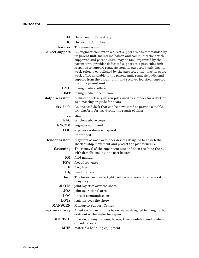$\overline{\phantom{a}}$ 

| DA              | Department of the Army                                                                                                                                                                                                                                                                                                                                                                                                                                                                                                                                |
|-----------------|-------------------------------------------------------------------------------------------------------------------------------------------------------------------------------------------------------------------------------------------------------------------------------------------------------------------------------------------------------------------------------------------------------------------------------------------------------------------------------------------------------------------------------------------------------|
| $\overline{D}C$ | District of Columbia                                                                                                                                                                                                                                                                                                                                                                                                                                                                                                                                  |
| dewater         | To remove water.                                                                                                                                                                                                                                                                                                                                                                                                                                                                                                                                      |
| direct support  | An engineer element in a direct support role is commanded by<br>its parent unit, maintains liaison and communications with<br>supported and parent units, may be task-organized by the<br>parent unit, provides dedicated support to a particular unit,<br>responds to support requests from its supported unit, has its<br>work priority established by the supported unit, has its spare<br>work effort available to the parent unit, requests additional<br>support from the parent unit, and receives logistical support<br>from the parent unit. |
| <b>DMO</b>      | diving medical officer                                                                                                                                                                                                                                                                                                                                                                                                                                                                                                                                |
| <b>DMT</b>      | diving medical technician                                                                                                                                                                                                                                                                                                                                                                                                                                                                                                                             |
| dolphin system  | A cluster of closely driven piles used as a fender for a dock or<br>as a mooring or guide for boats.                                                                                                                                                                                                                                                                                                                                                                                                                                                  |
| dry dock        | An enclosed dock that can be dewatered to provide a stable,<br>dry platform for use during the repair of ships.                                                                                                                                                                                                                                                                                                                                                                                                                                       |
| ea              | each                                                                                                                                                                                                                                                                                                                                                                                                                                                                                                                                                  |
| <b>EAC</b>      | echelons above corps                                                                                                                                                                                                                                                                                                                                                                                                                                                                                                                                  |
| <b>ENCOM</b>    | engineer command                                                                                                                                                                                                                                                                                                                                                                                                                                                                                                                                      |
| <b>EOD</b>      | explosive ordnance disposal                                                                                                                                                                                                                                                                                                                                                                                                                                                                                                                           |
| F               | Fahrenheit                                                                                                                                                                                                                                                                                                                                                                                                                                                                                                                                            |
| fender system   | A system of wood or rubber devices designed to absorb the<br>shock of ship movement and protect the pier structure.                                                                                                                                                                                                                                                                                                                                                                                                                                   |
| flattening      | The removal of the superstructure and then crushing the hull<br>with demolitions into the port bottom.                                                                                                                                                                                                                                                                                                                                                                                                                                                |
| FM              | field manual                                                                                                                                                                                                                                                                                                                                                                                                                                                                                                                                          |
| <b>FSW</b>      | feet of seawater                                                                                                                                                                                                                                                                                                                                                                                                                                                                                                                                      |
| ft              | foot; feet                                                                                                                                                                                                                                                                                                                                                                                                                                                                                                                                            |
| HQ              | headquarters                                                                                                                                                                                                                                                                                                                                                                                                                                                                                                                                          |
| hull            | The lowermost, watertight portion of a vessel that gives it<br>buoyancy.                                                                                                                                                                                                                                                                                                                                                                                                                                                                              |
| <b>JLOTS</b>    | joint logistics over the shore                                                                                                                                                                                                                                                                                                                                                                                                                                                                                                                        |
| <b>JOA</b>      | joint operational area                                                                                                                                                                                                                                                                                                                                                                                                                                                                                                                                |
| LOC             | lines of communication                                                                                                                                                                                                                                                                                                                                                                                                                                                                                                                                |
| <b>LOTS</b>     | logistics over the shore                                                                                                                                                                                                                                                                                                                                                                                                                                                                                                                              |
| <b>MANSCEN</b>  | Maneuver Support Center                                                                                                                                                                                                                                                                                                                                                                                                                                                                                                                               |
| marine railway  | A rail system extending below water designed to bring harbor<br>craft out of the water for repair.                                                                                                                                                                                                                                                                                                                                                                                                                                                    |
| <b>METT-TC</b>  | mission, enemy, terrain, troops, time available, and civilian<br>considerations                                                                                                                                                                                                                                                                                                                                                                                                                                                                       |
| <b>MHE</b>      | materials-handling equipment                                                                                                                                                                                                                                                                                                                                                                                                                                                                                                                          |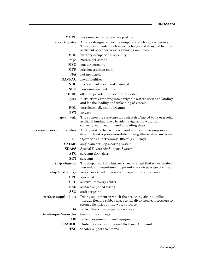| <b>MOPP</b>           | mission-oriented protective posture                                                                                                                                             |
|-----------------------|---------------------------------------------------------------------------------------------------------------------------------------------------------------------------------|
| mooring site          | An area designated for the temporary anchorage of vessels.<br>The site is provided with mooring buoys and designed to allow<br>sufficient space for vessels swinging on a moor. |
| <b>MOS</b>            | military occupational specialty                                                                                                                                                 |
| mps                   | meters per second                                                                                                                                                               |
| ${MSG}$               | master sergeant                                                                                                                                                                 |
| <b>MTP</b>            | mission training plan                                                                                                                                                           |
| N/A                   | not applicable                                                                                                                                                                  |
| <b>NAVFAC</b>         | naval facilities                                                                                                                                                                |
| <b>NBC</b>            | nuclear, biological, and chemical                                                                                                                                               |
| <b>NCO</b>            | noncommissioned officer                                                                                                                                                         |
| <b>OPDS</b>           | offshore petroleum distribution system                                                                                                                                          |
| pier                  | A structure extending into navigable waters used as a landing<br>and for the loading and unloading of vessels.                                                                  |
| POL                   | petroleum, oil, and lubricants                                                                                                                                                  |
| <b>PVT</b>            | private                                                                                                                                                                         |
| quay wall             | The supporting structure for a stretch of paved bank or a solid<br>artificial landing place beside navigational water for<br>convenience in loading and unloading ships.        |
| recompression chamber | An apparatus that is pressurized with air to decompress a<br>diver or treat a pressure-related diving illness after surfacing.                                                  |
| S3                    | Operations and Training Officer (US Army)                                                                                                                                       |
| <b>SALMS</b>          | single-anchor, leg-mooring system                                                                                                                                               |
| <b>SDASS</b>          | Special Divers Air Support System                                                                                                                                               |
| SFC                   | sergeant first class                                                                                                                                                            |
| SGT                   | sergeant                                                                                                                                                                        |
| ship channel          | The deeper part of a harbor, river, or strait that is designated,<br>marked, and maintained to permit the safe passage of ships.                                                |
| ship husbandry        | Work performed on vessels for repair or maintenance.                                                                                                                            |
| SPC                   | specialist                                                                                                                                                                      |
| ${\bf SRC}$           | survival recovery center                                                                                                                                                        |
| <b>SSD</b>            | surface-supplied diving                                                                                                                                                         |
| <b>SSG</b>            | staff sergeant                                                                                                                                                                  |
| surface-supplied air  | Diving equipment in which the breathing air is supplied<br>through flexible rubber hoses to the diver from compressors or<br>storage facilities on the water surface.           |
| <b>TDA</b>            | table of distribution and allowances                                                                                                                                            |
| timekeeper/recorder   | See comms and logs.                                                                                                                                                             |
| <b>TOE</b>            | table of organization and equipment                                                                                                                                             |
| <b>TRADOC</b>         | United States Training and Doctrine Command                                                                                                                                     |
| <b>TSC</b>            | theater support command                                                                                                                                                         |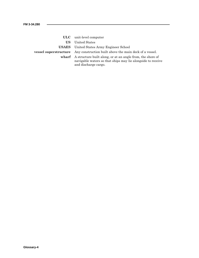- **ULC** unit-level computer
	- **US** United States
- **USAES** United States Army Engineer School

- **vessel superstructure** Any construction built above the main deck of a vessel.
	- **wharf** A structure built along, or at an angle from, the shore of navigable waters so that ships may lie alongside to receive and discharge cargo.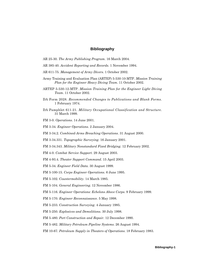# **Bibliography**

- AR 25-30. *The Army Publishing Program*. 16 March 2004.
- AR 385-40. *Accident Reporting and Records*. 1 November 1994.
- AR 611-75. *Management of Army Divers*. 1 October 2002.
- Army Training and Evaluation Plan (ARTEP) 5-530-10-MTP. *Mission Training Plan for the Engineer Heavy Diving Team*. 11 October 2002.
- ARTEP 5-530-12-MTP. *Mission Training Plan for the Engineer Light Diving Team*. 11 October 2002.
- DA Form 2028. *Recommended Changes to Publications and Blank Forms.* 1 February 1974.
- DA Pamphlet 611-21. *Military Occupational Classification and Structure*. 31 March 1999.
- FM 3-0. *Operations*. 14 June 2001.
- FM 3-34. *Engineer Operations*. 2 January 2004.
- FM 3-34.2. *Combined-Arms Breaching Operations*. 31 August 2000.
- FM 3-34.331. *Topographic Surveying*. 16 January 2001.
- FM 3-34.343. *Military Nonstandard Fixed Bridging*. 12 February 2002.
- FM 4-0. *Combat Service Support*. 29 August 2003.
- FM 4-93.4. *Theater Support Command*. 15 April 2003.
- FM 5-34. *Engineer Field Data*. 30 August 1999.
- FM 5-100-15. *Corps Engineer Operations*. 6 June 1995.
- FM 5-102. *Countermobility*. 14 March 1985.
- FM 5-104. *General Engineering*. 12 November 1986.
- FM 5-116. *Engineer Operations: Echelons Above Corps*. 9 February 1999.
- FM 5-170. *Engineer Reconnaissance*. 5 May 1998.
- FM 5-233. *Construction Surveying*. 4 January 1985.
- FM 5-250. *Explosives and Demolitions*. 30 July 1998.
- FM 5-480. *Port Construction and Repair*. 12 December 1990.
- FM 5-482. *Military Petroleum Pipeline Systems*. 26 August 1994.
- FM 10-67. *Petroleum Supply in Theaters of Operations*. 18 February 1983.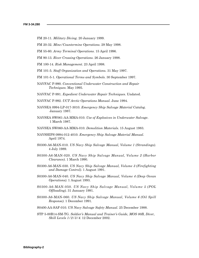- FM 20-11. *Military Diving*. 20 January 1999.
- FM 20-32. *Mine/Countermine Operations*. 29 May 1998.
- FM 55-60. *Army Terminal Operations*. 15 April 1996.
- FM 90-13. *River Crossing Operations*. 26 January 1998.
- FM 100-14. *Risk Management*. 23 April 1998.
- FM 101-5. *Staff Organization and Operation*s. 31 May 1997.
- FM 101-5-1. *Operational Terms and Symbols*. 30 September 1997.
- NAVFAC P-990. *Conventional Underwater Construction and Repair Techniques*. May 1995.
- NAVFAC P-991. *Expedient Underwater Repair Techniques*. Undated.
- NAVFAC P-992. *UCT Arctic Operations Manual*. June 1994.
- NAVSEA 0994-LP-017-3010. *Emergency Ship Salvage Material Catalog*. January 1987.
- NAVSEA SW061-AA-MMA-010. *Use of Explosives in Underwater Salvage*. 1 March 1987.
- NAVSEA SW060-AA-MMA-010. *Demolition Materials*. 15 August 1983.
- NAVSHIPS 0994-012-4010. *Emergency Ship Salvage Material Manual*. April 1974.
- S0300-A6-MAN-010. *US Navy Ship Salvage Manual, Volume 1 (Strandings)*. 4 July 1989.
- S0300-A6-MAN-020. *US Navy Ship Salvage Manual, Volume 2 (Harbor Clearance)*. 1 March 1990.
- S0300-A6-MAN-030. *US Navy Ship Salvage Manual, Volume 3 (Firefighting and Damage Control)*. 1 August 1991.
- S0300-A6-MAN-040. *US Navy Ship Salvage Manual, Volume 4 (Deep Ocean Operations)*. 1 August 1993.
- S0300-A6-MAN-050. *US Navy Ship Salvage Manual, Volume 5 (POL Offloading)*. 31 January 1991.
- S0300-A6-MAN-060. *US Navy Ship Salvage Manual, Volume 6 (Oil Spill Response)*. 1 December 1991.
- S0400-AA-SAF-010. *US Navy Salvage Safety Manual*. 25 December 1988.
- STP 5-00B14-SM-TG. *Soldier's Manual and Trainer's Guide, MOS 00B, Diver, Skill Levels 1/2/3/4*. 12 December 2002.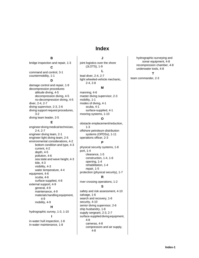**Index**

**B** bridge inspection and repair, 1-3

**C** command and control, 3-1 countermobility, 1-1 **D** damage control and repair, 1-9 decompression procedures altitude diving, 4-5 decompression diving, 4-5 no-decompression diving, 4-5 diver, 2-4, 2-7 diving supervisor, 2-3, 2-6 diving support request procedures, 3-2 diving team leader, 2-5 **E** engineer diving medical technician, 2-4, 2-7 engineer diving team, 2-1 engineer light diving team, 2-5 environmental considerations, 4-2 bottom condition and type, 4-3

> current, 4-2 depth, 4-5 pollution, 4-6

tide, 4-3 visibility, 4-3

equipment, 4-6 scuba, 4-6

external support, 4-9 general, 4-9 maintenance, 4-9

> 4-9 mobility, 4-9

sea state and wave height, 4-3

materials handling equipment,

**H** hydrographic survey, 1-3, 1-10 **I**

in-water hull inspection, 1-8 in-water maintenance, 1-8

water temperature, 4-4

surface-supplied, 4-8

**J** joint logistics over the shore (JLOTS), 1-9

# **L**

lead diver, 2-4, 2-7 light wheeled-vehicle mechanic, 2-4, 2-8

# **M**

manning, 4-6 master diving supervisor, 2-3 mobility, 1-1 modes of diving, 4-1 scuba, 4-1 surface-supplied, 4-1 mooring systems, 1-10

# **O**

obstacle emplacement/reduction, 1-3 offshore petroleum distribution systems (OPDSs), 1-11 operations officer, 2-3

# **P**

physical security systems, 1-8 port, 1-4 clearance, 1-5 construction, 1-4, 1-6 opening, 1-4 rehabilitation, 1-4 repair, 1-5 protection (physical security), 1-7

# **R**

river crossing operations, 1-2

**S**

safety and risk assessment, 4-10 salvage, 1-6 search and recovery, 1-6 security, 4-10 senior diving supervisor, 2-6 ship husbandry, 1-8 supply sergeant, 2-3, 2-7 surface-supplied diving equipment, 4-8 cameras, 4-8 compressors and air supply, 4-8

hydrographic-surveying and sonar equipment, 4-8 recompression chamber, 4-8 underwater tools, 4-8

# **T**

team commander, 2-3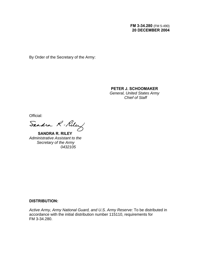By Order of the Secretary of the Army:

# **PETER J. SCHOOMAKER**

*General, United States Army Chief of Staff*

Official:<br>Sandra R. Riley

 **SANDRA R. RILEY**  *Administrative Assistant to the Secretary of the Army 0432105*

# **DISTRIBUTION:**

*Active Army, Army National Guard, and U.S. Army Reserve:* To be distributed in accordance with the initial distribution number 115110, requirements for FM 3-34.280.